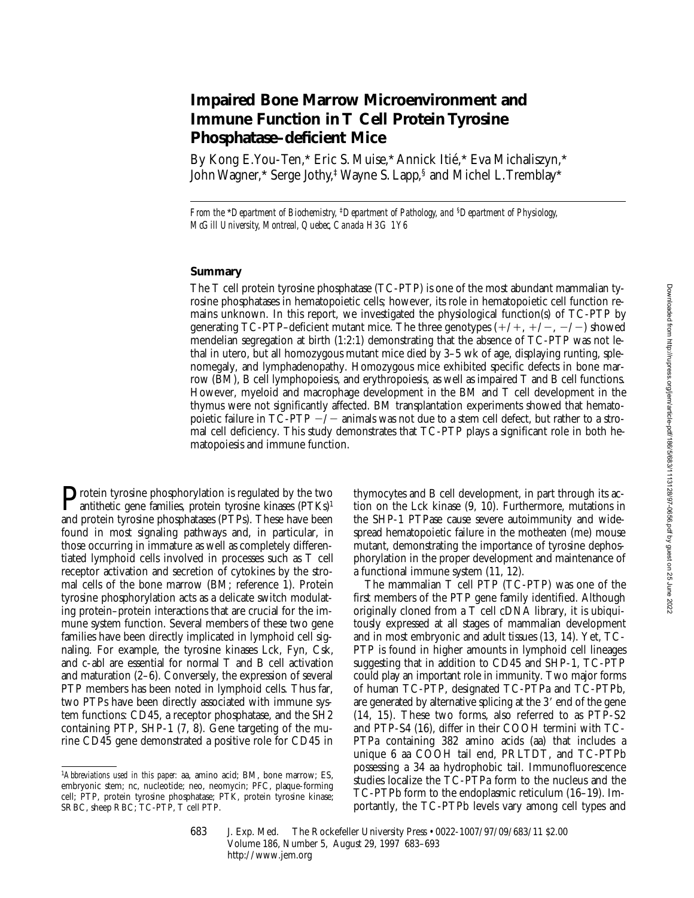# **Impaired Bone Marrow Microenvironment and Immune Function in T Cell Protein Tyrosine Phosphatase–deficient Mice**

By Kong E. You-Ten,\* Eric S. Muise,\* Annick Itié,\* Eva Michaliszyn,\* John Wagner,\* Serge Jothy,‡ Wayne S. Lapp,§ and Michel L. Tremblay\*

*From the* \**Department of Biochemistry,* ‡*Department of Pathology, and* §*Department of Physiology, McGill University, Montreal, Quebec, Canada H3G 1Y6*

# **Summary**

The T cell protein tyrosine phosphatase (TC-PTP) is one of the most abundant mammalian tyrosine phosphatases in hematopoietic cells; however, its role in hematopoietic cell function remains unknown. In this report, we investigated the physiological function(s) of TC-PTP by generating TC-PTP–deficient mutant mice. The three genotypes  $(+/+, +/-, -/-)$  showed mendelian segregation at birth (1:2:1) demonstrating that the absence of TC-PTP was not lethal in utero, but all homozygous mutant mice died by 3–5 wk of age, displaying runting, splenomegaly, and lymphadenopathy. Homozygous mice exhibited specific defects in bone marrow (BM), B cell lymphopoiesis, and erythropoiesis, as well as impaired T and B cell functions. However, myeloid and macrophage development in the BM and T cell development in the thymus were not significantly affected. BM transplantation experiments showed that hematopoietic failure in  $T\bar{C}$ -PTP  $-/-$  animals was not due to a stem cell defect, but rather to a stromal cell deficiency. This study demonstrates that TC-PTP plays a significant role in both hematopoiesis and immune function.

**Protein tyrosine phosphorylation is regulated by the two**<br>antithetic gene families, protein tyrosine kinases (PTKs)<sup>1</sup> and protein tyrosine phosphatases (PTPs). These have been found in most signaling pathways and, in particular, in those occurring in immature as well as completely differentiated lymphoid cells involved in processes such as T cell receptor activation and secretion of cytokines by the stromal cells of the bone marrow (BM; reference 1). Protein tyrosine phosphorylation acts as a delicate switch modulating protein–protein interactions that are crucial for the immune system function. Several members of these two gene families have been directly implicated in lymphoid cell signaling. For example, the tyrosine kinases Lck, Fyn, Csk, and c-abl are essential for normal T and B cell activation and maturation (2–6). Conversely, the expression of several PTP members has been noted in lymphoid cells. Thus far, two PTPs have been directly associated with immune system functions: CD45, a receptor phosphatase, and the SH2 containing PTP, SHP-1 (7, 8). Gene targeting of the murine CD45 gene demonstrated a positive role for CD45 in

thymocytes and B cell development, in part through its action on the Lck kinase (9, 10). Furthermore, mutations in the SHP-1 PTPase cause severe autoimmunity and widespread hematopoietic failure in the motheaten (me) mouse mutant, demonstrating the importance of tyrosine dephosphorylation in the proper development and maintenance of a functional immune system (11, 12).

The mammalian T cell PTP (TC-PTP) was one of the first members of the PTP gene family identified. Although originally cloned from a T cell cDNA library, it is ubiquitously expressed at all stages of mammalian development and in most embryonic and adult tissues (13, 14). Yet, TC-PTP is found in higher amounts in lymphoid cell lineages suggesting that in addition to CD45 and SHP-1, TC-PTP could play an important role in immunity. Two major forms of human TC-PTP, designated TC-PTPa and TC-PTPb, are generated by alternative splicing at the 3' end of the gene (14, 15). These two forms, also referred to as PTP-S2 and PTP-S4 (16), differ in their COOH termini with TC-PTPa containing 382 amino acids (aa) that includes a unique 6 aa COOH tail end, PRLTDT, and TC-PTPb possessing a 34 aa hydrophobic tail. Immunofluorescence studies localize the TC-PTPa form to the nucleus and the TC-PTPb form to the endoplasmic reticulum (16–19). Importantly, the TC-PTPb levels vary among cell types and

683 J. Exp. Med. The Rockefeller University Press • 0022-1007/97/09/683/11 \$2.00 Volume 186, Number 5, August 29, 1997 683–693 http://www.jem.org

<sup>1</sup>*Abbreviations used in this paper:* aa, amino acid; BM, bone marrow; ES, embryonic stem; nc, nucleotide; neo, neomycin; PFC, plaque-forming cell; PTP, protein tyrosine phosphatase; PTK, protein tyrosine kinase; SRBC, sheep RBC; TC-PTP, T cell PTP.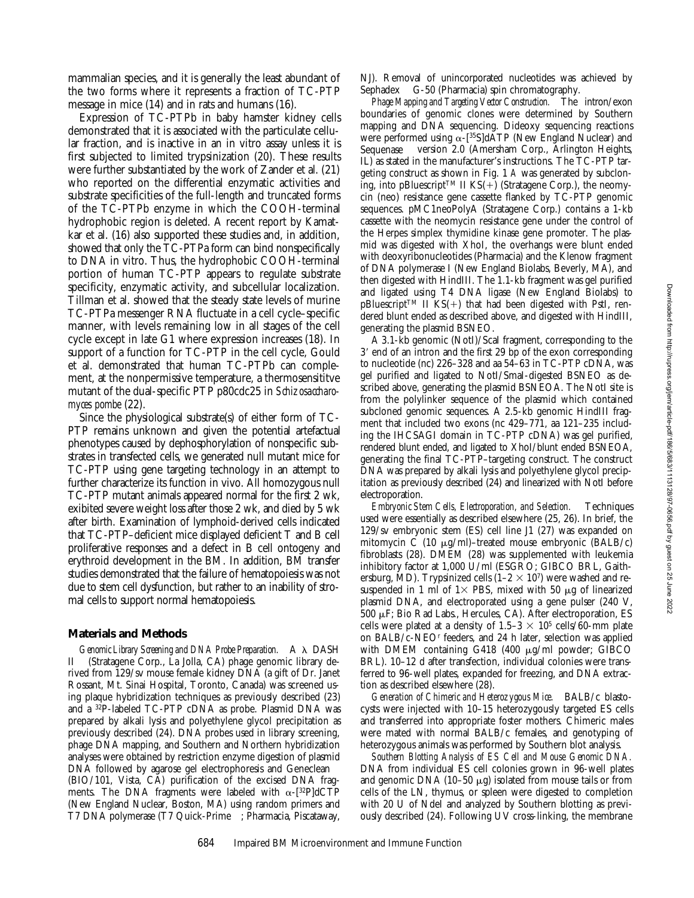mammalian species, and it is generally the least abundant of the two forms where it represents a fraction of TC-PTP message in mice (14) and in rats and humans (16).

Expression of TC-PTPb in baby hamster kidney cells demonstrated that it is associated with the particulate cellular fraction, and is inactive in an in vitro assay unless it is first subjected to limited trypsinization (20). These results were further substantiated by the work of Zander et al. (21) who reported on the differential enzymatic activities and substrate specificities of the full-length and truncated forms of the TC-PTPb enzyme in which the COOH-terminal hydrophobic region is deleted. A recent report by Kamatkar et al. (16) also supported these studies and, in addition, showed that only the TC-PTPa form can bind nonspecifically to DNA in vitro. Thus, the hydrophobic COOH-terminal portion of human TC-PTP appears to regulate substrate specificity, enzymatic activity, and subcellular localization. Tillman et al. showed that the steady state levels of murine TC-PTPa messenger RNA fluctuate in a cell cycle–specific manner, with levels remaining low in all stages of the cell cycle except in late G1 where expression increases (18). In support of a function for TC-PTP in the cell cycle, Gould et al. demonstrated that human TC-PTPb can complement, at the nonpermissive temperature, a thermosensititve mutant of the dual-specific PTP p80cdc25 in *Schizosaccharomyces pombe* (22).

Since the physiological substrate(s) of either form of TC-PTP remains unknown and given the potential artefactual phenotypes caused by dephosphorylation of nonspecific substrates in transfected cells, we generated null mutant mice for TC-PTP using gene targeting technology in an attempt to further characterize its function in vivo. All homozygous null TC-PTP mutant animals appeared normal for the first 2 wk, exibited severe weight loss after those 2 wk, and died by 5 wk after birth. Examination of lymphoid-derived cells indicated that TC-PTP–deficient mice displayed deficient T and B cell proliferative responses and a defect in B cell ontogeny and erythroid development in the BM. In addition, BM transfer studies demonstrated that the failure of hematopoiesis was not due to stem cell dysfunction, but rather to an inability of stromal cells to support normal hematopoiesis.

### **Materials and Methods**

*Genomic Library Screening and DNA Probe Preparation.* A  $\lambda$  DASH II<sup>™</sup> (Stratagene Corp., La Jolla, CA) phage genomic library derived from 129/sv mouse female kidney DNA (a gift of Dr. Janet Rossant, Mt. Sinai Hospital, Toronto, Canada) was screened using plaque hybridization techniques as previously described (23) and a 32P-labeled TC-PTP cDNA as probe. Plasmid DNA was prepared by alkali lysis and polyethylene glycol precipitation as previously described (24). DNA probes used in library screening, phage DNA mapping, and Southern and Northern hybridization analyses were obtained by restriction enzyme digestion of plasmid DNA followed by agarose gel electrophoresis and Geneclean<sup>TM</sup> (BIO/101, Vista, CA) purification of the excised DNA fragments. The DNA fragments were labeled with  $\alpha$ -[32P]dCTP (New England Nuclear, Boston, MA) using random primers and T7 DNA polymerase (T7 Quick-Prime™; Pharmacia, Piscataway,

NJ). Removal of unincorporated nucleotides was achieved by Sephadex<sup>™</sup> G-50 (Pharmacia) spin chromatography.

*Phage Mapping and Targeting Vector Construction.* The intron/exon boundaries of genomic clones were determined by Southern mapping and DNA sequencing. Dideoxy sequencing reactions were performed using  $\alpha$ -[<sup>35</sup>S]dATP (New England Nuclear) and Sequenase<sup>™</sup> version 2.0 (Amersham Corp., Arlington Heights, IL) as stated in the manufacturer's instructions. The TC-PTP targeting construct as shown in Fig. 1 *A* was generated by subcloning, into pBluescript<sup>TM</sup> II KS(+) (Stratagene Corp.), the neomycin (neo) resistance gene cassette flanked by TC-PTP genomic sequences. pMC1neoPolyA (Stratagene Corp.) contains a 1-kb cassette with the neomycin resistance gene under the control of the Herpes simplex thymidine kinase gene promoter. The plasmid was digested with XhoI, the overhangs were blunt ended with deoxyribonucleotides (Pharmacia) and the Klenow fragment of DNA polymerase I (New England Biolabs, Beverly, MA), and then digested with HindIII. The 1.1-kb fragment was gel purified and ligated using T4 DNA ligase (New England Biolabs) to  $pBluescriptTM$  II  $KS(+)$  that had been digested with PstI, rendered blunt ended as described above, and digested with HindIII, generating the plasmid BSNEO.

A 3.1-kb genomic (NotI)/ScaI fragment, corresponding to the 3' end of an intron and the first 29 bp of the exon corresponding to nucleotide (nc) 226–328 and aa 54–63 in TC-PTP cDNA, was gel purified and ligated to NotI/SmaI-digested BSNEO as described above, generating the plasmid BSNEOA. The NotI site is from the polylinker sequence of the plasmid which contained subcloned genomic sequences. A 2.5-kb genomic HindIII fragment that included two exons (nc 429–771, aa 121–235 including the IHCSAGI domain in TC-PTP cDNA) was gel purified, rendered blunt ended, and ligated to XhoI/blunt ended BSNEOA, generating the final TC-PTP–targeting construct. The construct DNA was prepared by alkali lysis and polyethylene glycol precipitation as previously described (24) and linearized with NotI before electroporation.

*Embryonic Stem Cells, Electroporation, and Selection.* Techniques used were essentially as described elsewhere (25, 26). In brief, the 129/sv embryonic stem (ES) cell line J1 (27) was expanded on mitomycin C (10  $\mu$ g/ml)–treated mouse embryonic (BALB/c) fibroblasts (28). DMEM (28) was supplemented with leukemia inhibitory factor at 1,000 U/ml (ESGRO; GIBCO BRL, Gaithersburg, MD). Trypsinized cells  $(1-2 \times 10^7)$  were washed and resuspended in 1 ml of  $1\times$  PBS, mixed with 50  $\mu$ g of linearized plasmid DNA, and electroporated using a gene pulser (240 V, 500 mF; Bio Rad Labs., Hercules, CA). After electroporation, ES cells were plated at a density of  $1.5-3 \times 10^5$  cells/60-mm plate on BALB/c-NEOr feeders, and 24 h later, selection was applied with DMEM containing G418 (400  $\mu$ g/ml powder; GIBCO BRL). 10–12 d after transfection, individual colonies were transferred to 96-well plates, expanded for freezing, and DNA extraction as described elsewhere (28).

*Generation of Chimeric and Heterozygous Mice.* BALB/c blastocysts were injected with 10–15 heterozygously targeted ES cells and transferred into appropriate foster mothers. Chimeric males were mated with normal BALB/c females, and genotyping of heterozygous animals was performed by Southern blot analysis.

*Southern Blotting Analysis of ES Cell and Mouse Genomic DNA.* DNA from individual ES cell colonies grown in 96-well plates and genomic DNA (10–50  $\mu$ g) isolated from mouse tails or from cells of the LN, thymus, or spleen were digested to completion with 20 U of NdeI and analyzed by Southern blotting as previously described (24). Following UV cross-linking, the membrane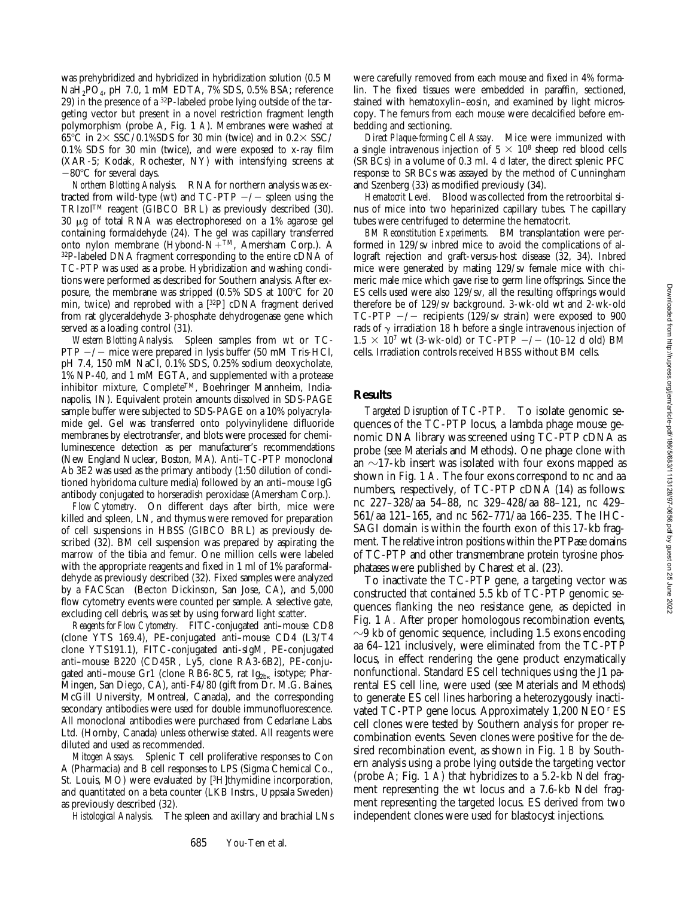was prehybridized and hybridized in hybridization solution (0.5 M NaH2PO4, pH 7.0, 1 mM EDTA, 7% SDS, 0.5% BSA; reference 29) in the presence of a 32P-labeled probe lying outside of the targeting vector but present in a novel restriction fragment length polymorphism (probe A, Fig. 1 *A*). Membranes were washed at 65°C in  $2 \times$  SSC/0.1%SDS for 30 min (twice) and in 0.2 $\times$  SSC/ 0.1% SDS for 30 min (twice), and were exposed to x-ray film (XAR-5; Kodak, Rochester, NY) with intensifying screens at  $-80^{\circ}$ C for several days.

*Northern Blotting Analysis.* RNA for northern analysis was extracted from wild-type (wt) and  $TC-PTP$   $-/-$  spleen using the TRIzolTM reagent (GIBCO BRL) as previously described (30).  $30 \mu$ g of total RNA was electrophoresed on a 1% agarose gel containing formaldehyde (24). The gel was capillary transferred onto nylon membrane (Hybond-N+TM, Amersham Corp.). A 32P-labeled DNA fragment corresponding to the entire cDNA of TC-PTP was used as a probe. Hybridization and washing conditions were performed as described for Southern analysis. After exposure, the membrane was stripped  $(0.5\%$  SDS at  $100^{\circ}$ C for 20 min, twice) and reprobed with a [32P] cDNA fragment derived from rat glyceraldehyde 3-phosphate dehydrogenase gene which served as a loading control (31).

*Western Blotting Analysis.* Spleen samples from wt or TC- $PTP$   $-/-$  mice were prepared in lysis buffer (50 mM Tris-HCl, pH 7.4, 150 mM NaCl, 0.1% SDS, 0.25% sodium deoxycholate, 1% NP-40, and 1 mM EGTA, and supplemented with a protease inhibitor mixture, CompleteTM, Boehringer Mannheim, Indianapolis, IN). Equivalent protein amounts dissolved in SDS-PAGE sample buffer were subjected to SDS-PAGE on a 10% polyacrylamide gel. Gel was transferred onto polyvinylidene difluoride membranes by electrotransfer, and blots were processed for chemiluminescence detection as per manufacturer's recommendations (New England Nuclear, Boston, MA). Anti–TC-PTP monoclonal Ab 3E2 was used as the primary antibody (1:50 dilution of conditioned hybridoma culture media) followed by an anti–mouse IgG antibody conjugated to horseradish peroxidase (Amersham Corp.).

*Flow Cytometry.* On different days after birth, mice were killed and spleen, LN, and thymus were removed for preparation of cell suspensions in HBSS (GIBCO BRL) as previously described (32). BM cell suspension was prepared by aspirating the marrow of the tibia and femur. One million cells were labeled with the appropriate reagents and fixed in 1 ml of 1% paraformaldehyde as previously described (32). Fixed samples were analyzed by a FACScan<sup>®</sup> (Becton Dickinson, San Jose, CA), and 5,000 flow cytometry events were counted per sample. A selective gate, excluding cell debris, was set by using forward light scatter.

*Reagents for Flow Cytometry.* FITC-conjugated anti–mouse CD8 (clone YTS 169.4), PE-conjugated anti–mouse CD4 (L3/T4 clone YTS191.1), FITC-conjugated anti-sIgM, PE-conjugated anti–mouse B220 (CD45R, Ly5, clone RA3-6B2), PE-conjugated anti-mouse Gr1 (clone RB6-8C5, rat Ig<sub>2bk</sub> isotype; Phar-Mingen, San Diego, CA), anti-F4/80 (gift from Dr. M.G. Baines, McGill University, Montreal, Canada), and the corresponding secondary antibodies were used for double immunofluorescence. All monoclonal antibodies were purchased from Cedarlane Labs. Ltd. (Hornby, Canada) unless otherwise stated. All reagents were diluted and used as recommended.

*Mitogen Assays.* Splenic T cell proliferative responses to Con A (Pharmacia) and B cell responses to LPS (Sigma Chemical Co., St. Louis, MO) were evaluated by [3H]thymidine incorporation, and quantitated on a beta counter (LKB Instrs., Uppsala Sweden) as previously described (32).

*Histological Analysis.* The spleen and axillary and brachial LNs

were carefully removed from each mouse and fixed in 4% formalin. The fixed tissues were embedded in paraffin, sectioned, stained with hematoxylin–eosin, and examined by light microscopy. The femurs from each mouse were decalcified before embedding and sectioning.

*Direct Plaque-forming Cell Assay.* Mice were immunized with a single intravenous injection of  $5 \times 10^8$  sheep red blood cells (SRBCs) in a volume of 0.3 ml. 4 d later, the direct splenic PFC response to SRBCs was assayed by the method of Cunningham and Szenberg (33) as modified previously (34).

*Hematocrit Level.* Blood was collected from the retroorbital sinus of mice into two heparinized capillary tubes. The capillary tubes were centrifuged to determine the hematocrit.

*BM Reconstitution Experiments.* BM transplantation were performed in 129/sv inbred mice to avoid the complications of allograft rejection and graft-versus-host disease (32, 34). Inbred mice were generated by mating 129/sv female mice with chimeric male mice which gave rise to germ line offsprings. Since the ES cells used were also 129/sv, all the resulting offsprings would therefore be of 129/sv background. 3-wk-old wt and 2-wk-old TC-PTP  $-/-$  recipients (129/sv strain) were exposed to 900 rads of  $\gamma$  irradiation 18 h before a single intravenous injection of  $1.5 \times 10^{7}$  wt (3-wk-old) or TC-PTP  $-/-$  (10–12 d old) BM cells. Irradiation controls received HBSS without BM cells.

#### **Results**

*Targeted Disruption of TC-PTP.* To isolate genomic sequences of the TC-PTP locus, a lambda phage mouse genomic DNA library was screened using TC-PTP cDNA as probe (see Materials and Methods). One phage clone with an  $\sim$ 17-kb insert was isolated with four exons mapped as shown in Fig. 1 *A.* The four exons correspond to nc and aa numbers, respectively, of TC-PTP cDNA (14) as follows: nc 227–328/aa 54–88, nc 329–428/aa 88–121, nc 429– 561/aa 121–165, and nc 562–771/aa 166–235. The IHC-SAGI domain is within the fourth exon of this 17-kb fragment. The relative intron positions within the PTPase domains of TC-PTP and other transmembrane protein tyrosine phosphatases were published by Charest et al. (23).

To inactivate the TC-PTP gene, a targeting vector was constructed that contained 5.5 kb of TC-PTP genomic sequences flanking the neo resistance gene, as depicted in Fig. 1 *A.* After proper homologous recombination events,  $\sim$ 9 kb of genomic sequence, including 1.5 exons encoding aa 64–121 inclusively, were eliminated from the TC-PTP locus, in effect rendering the gene product enzymatically nonfunctional. Standard ES cell techniques using the J1 parental ES cell line, were used (see Materials and Methods) to generate ES cell lines harboring a heterozygously inactivated TC-PTP gene locus. Approximately 1,200 NEOr ES cell clones were tested by Southern analysis for proper recombination events. Seven clones were positive for the desired recombination event, as shown in Fig. 1 *B* by Southern analysis using a probe lying outside the targeting vector (probe A; Fig. 1 *A*) that hybridizes to a 5.2-kb NdeI fragment representing the wt locus and a 7.6-kb NdeI fragment representing the targeted locus. ES derived from two independent clones were used for blastocyst injections.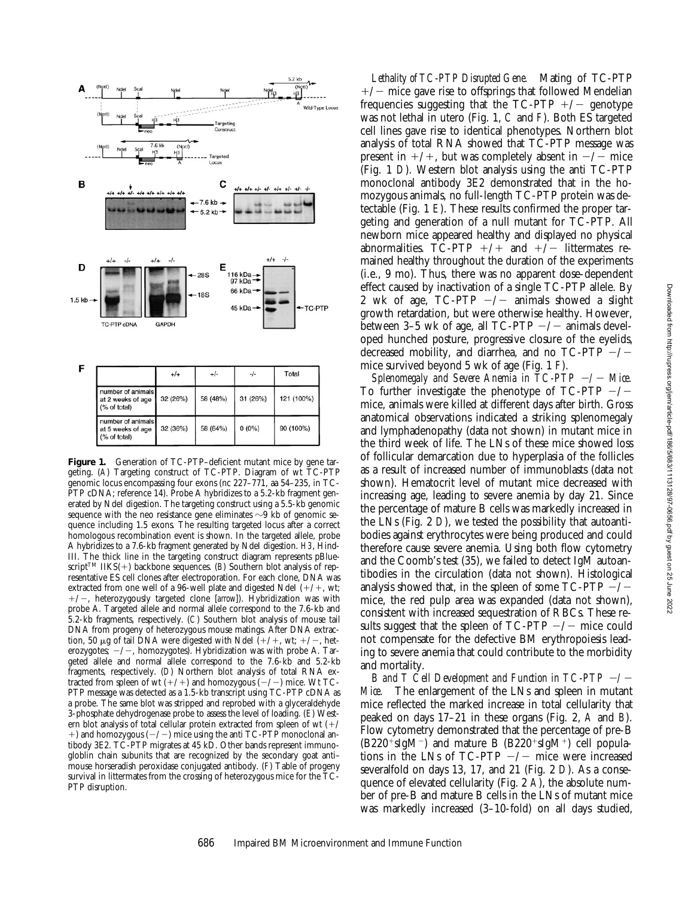

Figure 1. Generation of TC-PTP-deficient mutant mice by gene targeting. (*A*) Targeting construct of TC-PTP. Diagram of wt TC-PTP genomic locus encompassing four exons (nc 227–771, aa 54–235, in TC-PTP cDNA; reference 14). Probe A hybridizes to a 5.2-kb fragment generated by NdeI digestion. The targeting construct using a 5.5-kb genomic sequence with the neo resistance gene eliminates  $\sim$ 9 kb of genomic sequence including 1.5 exons. The resulting targeted locus after a correct homologous recombination event is shown. In the targeted allele, probe A hybridizes to a 7.6-kb fragment generated by NdeI digestion. *H3*, Hind-III. The thick line in the targeting construct diagram represents pBluescript<sup>TM</sup> IIKS(+) backbone sequences. (*B*) Southern blot analysis of representative ES cell clones after electroporation. For each clone, DNA was extracted from one well of a 96-well plate and digested NdeI  $(+/+, wt;$  $+/-$ , heterozygously targeted clone [*arrow*]). Hybridization was with probe A. Targeted allele and normal allele correspond to the 7.6-kb and 5.2-kb fragments, respectively. (*C*) Southern blot analysis of mouse tail DNA from progeny of heterozygous mouse matings. After DNA extraction, 50  $\mu$ g of tail DNA were digested with NdeI (+/+, wt; +/-, heterozygotes;  $-\prime$  -, homozygotes). Hybridization was with probe A. Targeted allele and normal allele correspond to the 7.6-kb and 5.2-kb fragments, respectively. (*D*) Northern blot analysis of total RNA extracted from spleen of wt  $(+/+)$  and homozygous  $(-/-)$  mice. Wt TC-PTP message was detected as a 1.5-kb transcript using TC-PTP cDNA as a probe. The same blot was stripped and reprobed with a glyceraldehyde 3-phosphate dehydrogenase probe to assess the level of loading. (*E*) Western blot analysis of total cellular protein extracted from spleen of wt  $(+/$  $+$ ) and homozygous ( $-/-$ ) mice using the anti TC-PTP monoclonal antibody 3E2. TC-PTP migrates at 45 kD. Other bands represent immunogloblin chain subunits that are recognized by the secondary goat anti– mouse horseradish peroxidase conjugated antibody. (*F*) Table of progeny survival in littermates from the crossing of heterozygous mice for the TC-PTP disruption.

*Lethality of TC-PTP Disrupted Gene.* Mating of TC-PTP  $+/-$  mice gave rise to offsprings that followed Mendelian frequencies suggesting that the  $TC-PTP$  +/- genotype was not lethal in utero (Fig. 1, *C* and *F*). Both ES targeted cell lines gave rise to identical phenotypes. Northern blot analysis of total RNA showed that TC-PTP message was present in  $+/+$ , but was completely absent in  $-/-$  mice (Fig. 1 *D*). Western blot analysis using the anti TC-PTP monoclonal antibody 3E2 demonstrated that in the homozygous animals, no full-length TC-PTP protein was detectable (Fig. 1 *E*). These results confirmed the proper targeting and generation of a null mutant for TC-PTP. All newborn mice appeared healthy and displayed no physical abnormalities. TC-PTP  $+/+$  and  $+/-$  littermates remained healthy throughout the duration of the experiments (i.e., 9 mo). Thus, there was no apparent dose-dependent effect caused by inactivation of a single TC-PTP allele. By 2 wk of age,  $TC-PTP$   $-/-$  animals showed a slight growth retardation, but were otherwise healthy. However, between 3–5 wk of age, all  $TC-PTP$   $-/-$  animals developed hunched posture, progressive closure of the eyelids, decreased mobility, and diarrhea, and no  $TC-PTP$   $-/$ mice survived beyond 5 wk of age (Fig. 1 *F*).

*Splenomegaly and Severe Anemia in*  $TC-PTP$  $-/-$  *Mice.* To further investigate the phenotype of TC-PTP  $-/$ mice, animals were killed at different days after birth. Gross anatomical observations indicated a striking splenomegaly and lymphadenopathy (data not shown) in mutant mice in the third week of life. The LNs of these mice showed loss of follicular demarcation due to hyperplasia of the follicles as a result of increased number of immunoblasts (data not shown). Hematocrit level of mutant mice decreased with increasing age, leading to severe anemia by day 21. Since the percentage of mature B cells was markedly increased in the LNs (Fig. 2 *D*), we tested the possibility that autoantibodies against erythrocytes were being produced and could therefore cause severe anemia. Using both flow cytometry and the Coomb's test (35), we failed to detect IgM autoantibodies in the circulation (data not shown). Histological analysis showed that, in the spleen of some  $TC-PTP$   $-/$ mice, the red pulp area was expanded (data not shown), consistent with increased sequestration of RBCs. These results suggest that the spleen of  $TC-PTP$   $-/-$  mice could not compensate for the defective BM erythropoiesis leading to severe anemia that could contribute to the morbidity and mortality.

*B* and  $T$  Cell Development and Function in  $TC-PTP$   $-/-$ *Mice.* The enlargement of the LNs and spleen in mutant mice reflected the marked increase in total cellularity that peaked on days 17–21 in these organs (Fig. 2, *A* and *B*). Flow cytometry demonstrated that the percentage of pre-B  $(B220^+ \text{slgM}^{-})$  and mature B  $(B220^+ \text{slgM}^{+})$  cell populations in the LNs of TC-PTP  $-\prime$  mice were increased severalfold on days 13, 17, and 21 (Fig. 2 *D*). As a consequence of elevated cellularity (Fig. 2 *A*), the absolute number of pre-B and mature B cells in the LNs of mutant mice was markedly increased (3–10-fold) on all days studied,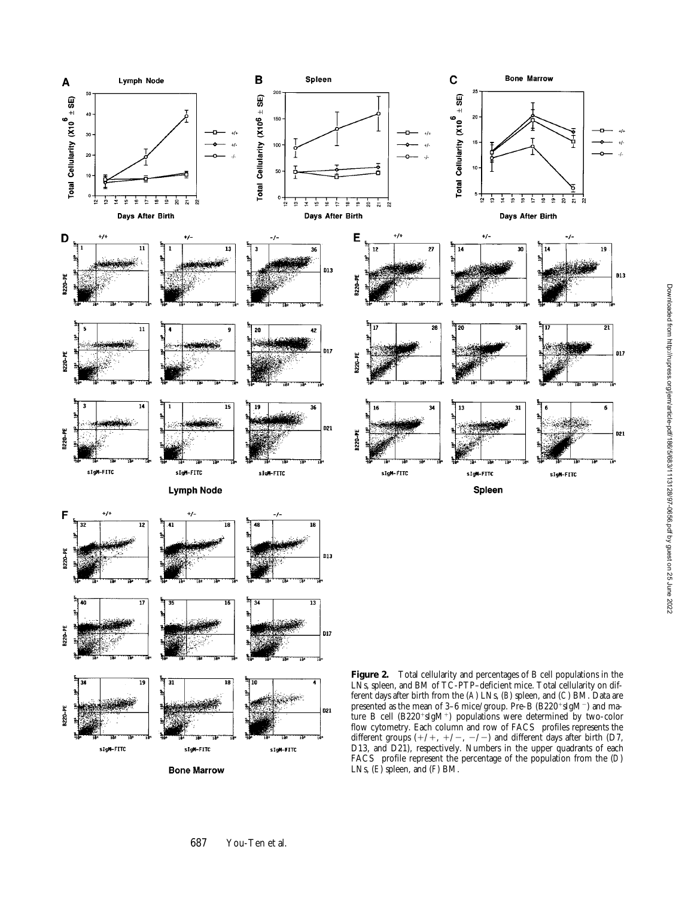

**Bone Marrow** 

FACS profile represent the percentage of the population from the (*D* ) LNs, (*E*) spleen, and (*F*) BM.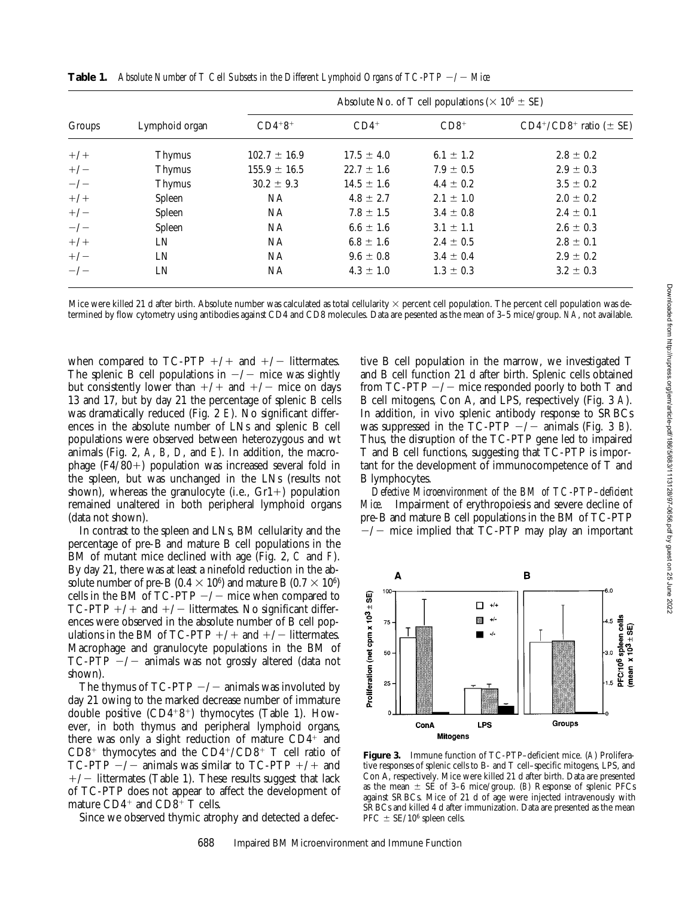| Groups | Lymphoid organ | Absolute No. of T cell populations ( $\times$ 10 <sup>6</sup> $\pm$ SE) |                |               |                                 |  |  |
|--------|----------------|-------------------------------------------------------------------------|----------------|---------------|---------------------------------|--|--|
|        |                | $CD4+8+$                                                                | $CD4+$         | $CD8+$        | $CD4^+/CD8^+$ ratio ( $\pm$ SE) |  |  |
| $+/+$  | <b>Thymus</b>  | $102.7 \pm 16.9$                                                        | $17.5 \pm 4.0$ | $6.1 \pm 1.2$ | $2.8 \pm 0.2$                   |  |  |
| $+/-$  | <b>Thymus</b>  | $155.9 \pm 16.5$                                                        | $22.7 \pm 1.6$ | $7.9 \pm 0.5$ | $2.9 \pm 0.3$                   |  |  |
| $-/-$  | <b>Thymus</b>  | $30.2 \pm 9.3$                                                          | $14.5 \pm 1.6$ | $4.4 \pm 0.2$ | $3.5 \pm 0.2$                   |  |  |
| $+/+$  | Spleen         | <b>NA</b>                                                               | $4.8 \pm 2.7$  | $2.1 \pm 1.0$ | $2.0 \pm 0.2$                   |  |  |
| $+/-$  | Spleen         | NA                                                                      | $7.8 \pm 1.5$  | $3.4 \pm 0.8$ | $2.4 \pm 0.1$                   |  |  |
| $-\/-$ | Spleen         | NA                                                                      | $6.6 \pm 1.6$  | $3.1 \pm 1.1$ | $2.6 \pm 0.3$                   |  |  |
| $+/+$  | LN             | NA                                                                      | $6.8 \pm 1.6$  | $2.4 \pm 0.5$ | $2.8 \pm 0.1$                   |  |  |
| $+/-$  | LN             | NA                                                                      | $9.6 \pm 0.8$  | $3.4 \pm 0.4$ | $2.9 \pm 0.2$                   |  |  |
| $-\/-$ | LN             | NА                                                                      | $4.3 \pm 1.0$  | $1.3 \pm 0.3$ | $3.2 \pm 0.3$                   |  |  |

**Table 1.** Absolute Number of T Cell Subsets in the Different Lymphoid Organs of TC-PTP  $-\prime$  Mice

Mice were killed 21 d after birth. Absolute number was calculated as total cellularity  $\times$  percent cell population. The percent cell population was determined by flow cytometry using antibodies against CD4 and CD8 molecules. Data are pesented as the mean of 3–5 mice/group. *NA*, not available.

when compared to TC-PTP  $+/+$  and  $+/-$  littermates. The splenic B cell populations in  $-\prime$  mice was slightly but consistently lower than  $+/+$  and  $+/-$  mice on days 13 and 17, but by day 21 the percentage of splenic B cells was dramatically reduced (Fig. 2 *E*). No significant differences in the absolute number of LNs and splenic B cell populations were observed between heterozygous and wt animals (Fig. 2, *A*, *B*, *D*, and *E*). In addition, the macrophage  $(F4/80+)$  population was increased several fold in the spleen, but was unchanged in the LNs (results not shown), whereas the granulocyte (i.e.,  $Gr1+$ ) population remained unaltered in both peripheral lymphoid organs (data not shown).

In contrast to the spleen and LNs, BM cellularity and the percentage of pre-B and mature B cell populations in the BM of mutant mice declined with age (Fig. 2, *C* and *F*). By day 21, there was at least a ninefold reduction in the absolute number of pre-B (0.4  $\times$  10<sup>6</sup>) and mature B (0.7  $\times$  10<sup>6</sup>) cells in the BM of TC-PTP  $-\prime$  mice when compared to TC-PTP  $+/+$  and  $+/-$  littermates. No significant differences were observed in the absolute number of B cell populations in the BM of TC-PTP  $+/+$  and  $+/-$  littermates. Macrophage and granulocyte populations in the BM of  $TC-PTP$   $-/-$  animals was not grossly altered (data not shown).

The thymus of  $TC-PTP$   $-/-$  animals was involuted by day 21 owing to the marked decrease number of immature double positive  $(CD4+8^+)$  thymocytes (Table 1). However, in both thymus and peripheral lymphoid organs, there was only a slight reduction of mature  $CD4^+$  and  $CD8<sup>+</sup>$  thymocytes and the  $CD4<sup>+</sup>/CD8<sup>+</sup>$  T cell ratio of TC-PTP  $-/-$  animals was similar to TC-PTP  $+/+$  and  $+/-$  littermates (Table 1). These results suggest that lack of TC-PTP does not appear to affect the development of mature  $CD4^+$  and  $CD8^+$  T cells.

Since we observed thymic atrophy and detected a defec-

tive B cell population in the marrow, we investigated T and B cell function 21 d after birth. Splenic cells obtained from TC-PTP  $-/-$  mice responded poorly to both T and B cell mitogens, Con A, and LPS, respectively (Fig. 3 *A*). In addition, in vivo splenic antibody response to SRBCs was suppressed in the TC-PTP  $-/-$  animals (Fig. 3 *B*). Thus, the disruption of the TC-PTP gene led to impaired T and B cell functions, suggesting that TC-PTP is important for the development of immunocompetence of T and B lymphocytes.

*Defective Microenvironment of the BM of TC-PTP–deficient Mice.* Impairment of erythropoiesis and severe decline of pre-B and mature B cell populations in the BM of TC-PTP  $-\prime$  mice implied that TC-PTP may play an important



**Figure 3.** Immune function of TC-PTP–deficient mice. (*A*) Proliferative responses of splenic cells to B- and T cell–specific mitogens, LPS, and Con A, respectively. Mice were killed 21 d after birth. Data are presented as the mean  $\pm$  SE of 3–6 mice/group. (*B*) Response of splenic PFCs against SRBCs. Mice of 21 d of age were injected intravenously with SRBCs and killed 4 d after immunization. Data are presented as the mean PFC  $\pm$  SE/10<sup>6</sup> spleen cells.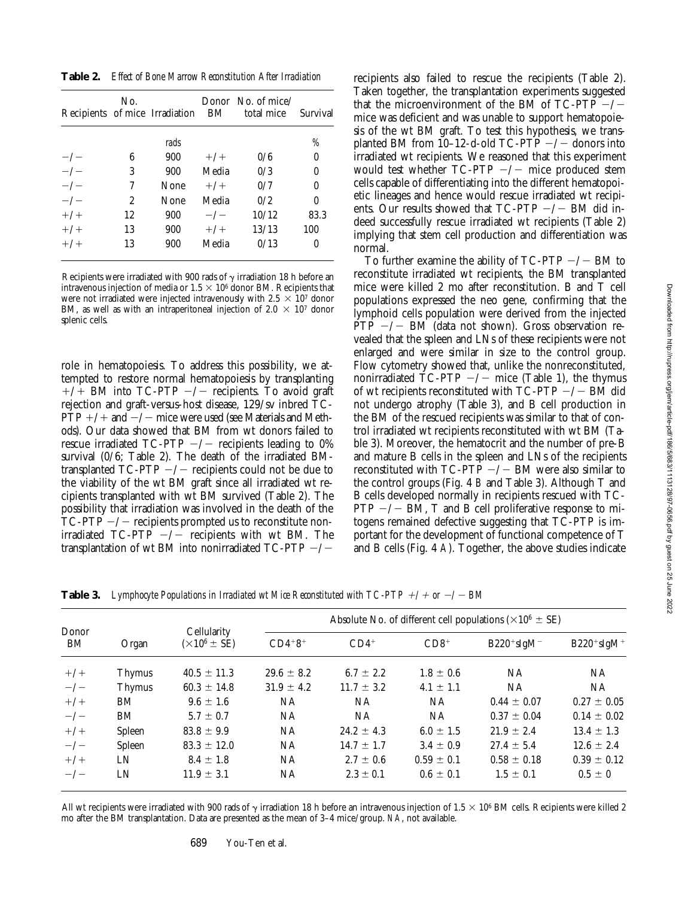**Table 2.** *Effect of Bone Marrow Reconstitution After Irradiation*

|          | No. | Recipients of mice Irradiation BM |             | Donor $\pi$ No. of mice/<br>total mice | Survival |
|----------|-----|-----------------------------------|-------------|----------------------------------------|----------|
|          |     | rads                              |             |                                        | %        |
| $-\big/$ | 6   | 900                               | $+/-$       | 0/6                                    | $\theta$ |
| $-\big/$ | 3   | 900                               | Media       | 0/3                                    | 0        |
| $-\big/$ | 7   | None                              | $+/-$       | 0/7                                    | 0        |
| $-/-$    | 2   | None                              | Media       | 0/2                                    | 0        |
| $+/-$    | 12  | 900                               | $-\sqrt{-}$ | 10/12                                  | 83.3     |
| $+/-$    | 13  | 900                               | $+/-$       | 13/13                                  | 100      |
| $+/-$    | 13  | 900                               | Media       | 0/13                                   | 0        |

Recipients were irradiated with 900 rads of  $\gamma$  irradiation 18 h before an intravenous injection of media or  $1.5 \times 10^6$  donor BM. Recipients that were not irradiated were injected intravenously with 2.5  $\times$  10<sup>7</sup> donor BM, as well as with an intraperitoneal injection of 2.0  $\times$  10<sup>7</sup> donor splenic cells.

role in hematopoiesis. To address this possibility, we attempted to restore normal hematopoiesis by transplanting  $+/+$  BM into TC-PTP  $-/-$  recipients. To avoid graft rejection and graft-versus-host disease, 129/sv inbred TC- $PTP +/+$  and  $-/-$  mice were used (see Materials and Methods). Our data showed that BM from wt donors failed to rescue irradiated TC-PTP  $-/-$  recipients leading to 0% survival (0/6; Table 2). The death of the irradiated BMtransplanted  $TC-PTP$   $-/-$  recipients could not be due to the viability of the wt BM graft since all irradiated wt recipients transplanted with wt BM survived (Table 2). The possibility that irradiation was involved in the death of the  $TC-PTP$   $-/-$  recipients prompted us to reconstitute nonirradiated TC-PTP  $-/-$  recipients with wt BM. The transplantation of wt BM into nonirradiated TC-PTP  $-/-$ 

recipients also failed to rescue the recipients (Table 2). Taken together, the transplantation experiments suggested that the microenvironment of the BM of TC-PTP  $-/$ mice was deficient and was unable to support hematopoiesis of the wt BM graft. To test this hypothesis, we transplanted BM from 10-12-d-old TC-PTP  $-/-$  donors into irradiated wt recipients. We reasoned that this experiment would test whether  $TC-PTP$   $-/-$  mice produced stem cells capable of differentiating into the different hematopoietic lineages and hence would rescue irradiated wt recipients. Our results showed that  $TC-PTP$   $-/-$  BM did indeed successfully rescue irradiated wt recipients (Table 2) implying that stem cell production and differentiation was normal.

To further examine the ability of  $TC-PTP$   $-/-$  BM to reconstitute irradiated wt recipients, the BM transplanted mice were killed 2 mo after reconstitution. B and T cell populations expressed the neo gene, confirming that the lymphoid cells population were derived from the injected  $\overline{PTP}$   $-/-$  BM (data not shown). Gross observation revealed that the spleen and LNs of these recipients were not enlarged and were similar in size to the control group. Flow cytometry showed that, unlike the nonreconstituted, nonirradiated TC-PTP  $-\prime$  mice (Table 1), the thymus of wt recipients reconstituted with  $TC-PTP$   $-/-$  BM did not undergo atrophy (Table 3), and B cell production in the BM of the rescued recipients was similar to that of control irradiated wt recipients reconstituted with wt BM (Table 3). Moreover, the hematocrit and the number of pre-B and mature B cells in the spleen and LNs of the recipients reconstituted with  $TC-PTP$   $-/-$  BM were also similar to the control groups (Fig. 4 *B* and Table 3). Although T and B cells developed normally in recipients rescued with TC-PTP  $-\prime$  BM, T and B cell proliferative response to mitogens remained defective suggesting that TC-PTP is important for the development of functional competence of T and B cells (Fig. 4 *A*). Together, the above studies indicate

**Table 3.** Lymphocyte Populations in Irradiated wt Mice Reconstituted with  $TC-PTP$  +/+ or  $-/-$  BM

| Donor<br>BM |               | Cellularity<br>$(\times 10^6 \pm \text{SE})$ | Absolute No. of different cell populations ( $\times 10^6 \pm$ SE) |                |                |                 |                 |  |
|-------------|---------------|----------------------------------------------|--------------------------------------------------------------------|----------------|----------------|-----------------|-----------------|--|
|             | Organ         |                                              | $CD4+8+$                                                           | $CD4+$         | $CD8+$         | $B220+ sIgM^-$  | $B220+sigM+$    |  |
| $+/+$       | <b>Thymus</b> | $40.5 \pm 11.3$                              | $29.6 \pm 8.2$                                                     | $6.7 \pm 2.2$  | $1.8 \pm 0.6$  | NА              | NA.             |  |
| $-\prime -$ | Thymus        | $60.3 \pm 14.8$                              | $31.9 \pm 4.2$                                                     | $11.7 \pm 3.2$ | $4.1 \pm 1.1$  | NA.             | NA.             |  |
| $+/+$       | BM            | $9.6 \pm 1.6$                                | <b>NA</b>                                                          | <b>NA</b>      | <b>NA</b>      | $0.44 \pm 0.07$ | $0.27 \pm 0.05$ |  |
| $-\/-$      | BM            | $5.7 \pm 0.7$                                | <b>NA</b>                                                          | <b>NA</b>      | NA             | $0.37 \pm 0.04$ | $0.14 \pm 0.02$ |  |
| $+/+$       | Spleen        | $83.8 \pm 9.9$                               | <b>NA</b>                                                          | $24.2 \pm 4.3$ | 6.0 $\pm$ 1.5  | $21.9 \pm 2.4$  | $13.4 \pm 1.3$  |  |
| $-\/-$      | Spleen        | $83.3 \pm 12.0$                              | NA                                                                 | $14.7 \pm 1.7$ | $3.4 \pm 0.9$  | $27.4 \pm 5.4$  | $12.6 \pm 2.4$  |  |
| $+/+$       | LN            | $8.4 \pm 1.8$                                | NA                                                                 | $2.7 \pm 0.6$  | $0.59 \pm 0.1$ | $0.58 \pm 0.18$ | $0.39 \pm 0.12$ |  |
| $-\big/$    | LN            | $11.9 \pm 3.1$                               | NA                                                                 | $2.3 \pm 0.1$  | $0.6 \pm 0.1$  | $1.5 \pm 0.1$   | $0.5 \pm 0$     |  |

All wt recipients were irradiated with 900 rads of  $\gamma$  irradiation 18 h before an intravenous injection of 1.5  $\times$  10<sup>6</sup> BM cells. Recipients were killed 2 mo after the BM transplantation. Data are presented as the mean of 3–4 mice/group. *NA*, not available.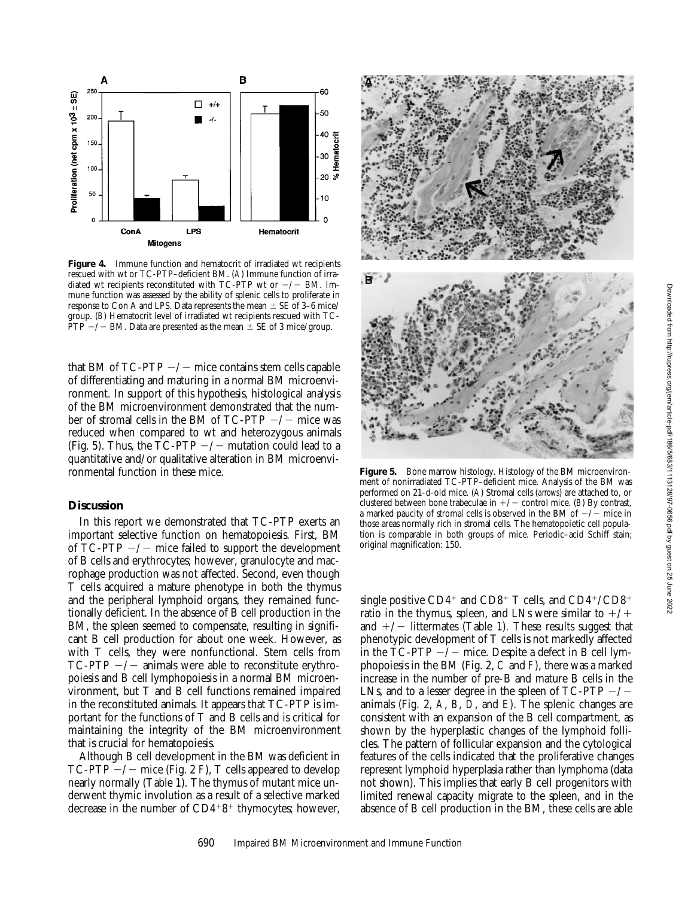

Figure 4. Immune function and hematocrit of irradiated wt recipients rescued with wt or TC-PTP–deficient BM. (*A*) Immune function of irradiated wt recipients reconstituted with TC-PTP wt or  $-\prime$  BM. Immune function was assessed by the ability of splenic cells to proliferate in response to Con A and LPS. Data represents the mean  $\pm$  SE of 3–6 mice/ group. (*B*) Hematocrit level of irradiated wt recipients rescued with TC- $\overline{PTP}$  –/– BM. Data are presented as the mean  $\pm$  SE of 3 mice/group.

that BM of  $TC-PTP$   $-/-$  mice contains stem cells capable of differentiating and maturing in a normal BM microenvironment. In support of this hypothesis, histological analysis of the BM microenvironment demonstrated that the number of stromal cells in the BM of TC-PTP  $-\prime$  mice was reduced when compared to wt and heterozygous animals (Fig. 5). Thus, the TC-PTP  $-/-$  mutation could lead to a quantitative and/or qualitative alteration in BM microenvironmental function in these mice.

## **Discussion**

In this report we demonstrated that TC-PTP exerts an important selective function on hematopoiesis. First, BM of  $TC-PTP$   $-/-$  mice failed to support the development of B cells and erythrocytes; however, granulocyte and macrophage production was not affected. Second, even though T cells acquired a mature phenotype in both the thymus and the peripheral lymphoid organs, they remained functionally deficient. In the absence of B cell production in the BM, the spleen seemed to compensate, resulting in significant B cell production for about one week. However, as with T cells, they were nonfunctional. Stem cells from  $TC-PTP$   $-/-$  animals were able to reconstitute erythropoiesis and B cell lymphopoiesis in a normal BM microenvironment, but T and B cell functions remained impaired in the reconstituted animals. It appears that TC-PTP is important for the functions of T and B cells and is critical for maintaining the integrity of the BM microenvironment that is crucial for hematopoiesis.

Although B cell development in the BM was deficient in TC-PTP  $-/-$  mice (Fig. 2 *F*), T cells appeared to develop nearly normally (Table 1). The thymus of mutant mice underwent thymic involution as a result of a selective marked decrease in the number of  $CD4+8^+$  thymocytes; however,



Figure 5. Bone marrow histology. Histology of the BM microenvironment of nonirradiated TC-PTP–deficient mice. Analysis of the BM was performed on 21-d-old mice. (*A*) Stromal cells (*arrows*) are attached to, or clustered between bone trabeculae in  $+/-$  control mice. (*B*) By contrast, a marked paucity of stromal cells is observed in the BM of  $-\prime$  mice in those areas normally rich in stromal cells. The hematopoietic cell population is comparable in both groups of mice. Periodic–acid Schiff stain; original magnification: 150.

single positive CD4<sup>+</sup> and CD8<sup>+</sup> T cells, and CD4<sup>+</sup>/CD8<sup>+</sup> ratio in the thymus, spleen, and LNs were similar to  $+/+$ and  $+/-$  littermates (Table 1). These results suggest that phenotypic development of T cells is not markedly affected in the  $TC-PTP$   $-/-$  mice. Despite a defect in B cell lymphopoiesis in the BM (Fig. 2, *C* and *F*), there was a marked increase in the number of pre-B and mature B cells in the LNs, and to a lesser degree in the spleen of TC-PTP  $-/$ animals (Fig. 2, *A*, *B*, *D*, and *E*). The splenic changes are consistent with an expansion of the B cell compartment, as shown by the hyperplastic changes of the lymphoid follicles. The pattern of follicular expansion and the cytological features of the cells indicated that the proliferative changes represent lymphoid hyperplasia rather than lymphoma (data not shown). This implies that early B cell progenitors with limited renewal capacity migrate to the spleen, and in the absence of B cell production in the BM, these cells are able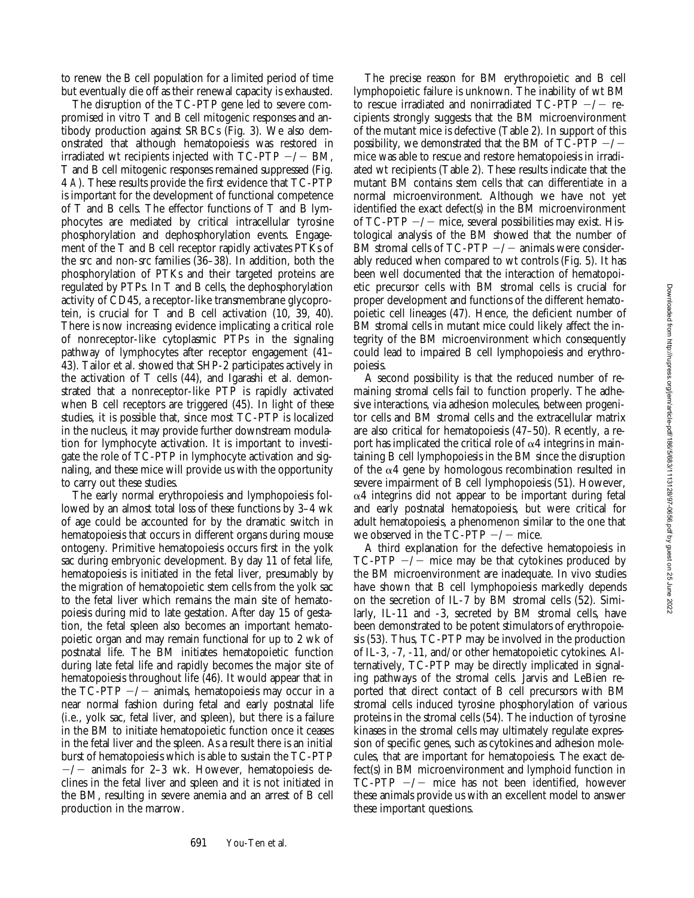to renew the B cell population for a limited period of time but eventually die off as their renewal capacity is exhausted.

The disruption of the TC-PTP gene led to severe compromised in vitro T and B cell mitogenic responses and antibody production against SRBCs (Fig. 3). We also demonstrated that although hematopoiesis was restored in irradiated wt recipients injected with  $TC-PTP$   $-/-$  BM, T and B cell mitogenic responses remained suppressed (Fig. 4 *A*). These results provide the first evidence that TC-PTP is important for the development of functional competence of T and B cells. The effector functions of T and B lymphocytes are mediated by critical intracellular tyrosine phosphorylation and dephosphorylation events. Engagement of the T and B cell receptor rapidly activates PTKs of the src and non-src families (36–38). In addition, both the phosphorylation of PTKs and their targeted proteins are regulated by PTPs. In T and B cells, the dephosphorylation activity of CD45, a receptor-like transmembrane glycoprotein, is crucial for T and B cell activation (10, 39, 40). There is now increasing evidence implicating a critical role of nonreceptor-like cytoplasmic PTPs in the signaling pathway of lymphocytes after receptor engagement (41– 43). Tailor et al. showed that SHP-2 participates actively in the activation of T cells (44), and Igarashi et al. demonstrated that a nonreceptor-like PTP is rapidly activated when B cell receptors are triggered (45). In light of these studies, it is possible that, since most TC-PTP is localized in the nucleus, it may provide further downstream modulation for lymphocyte activation. It is important to investigate the role of TC-PTP in lymphocyte activation and signaling, and these mice will provide us with the opportunity to carry out these studies.

The early normal erythropoiesis and lymphopoiesis followed by an almost total loss of these functions by 3–4 wk of age could be accounted for by the dramatic switch in hematopoiesis that occurs in different organs during mouse ontogeny. Primitive hematopoiesis occurs first in the yolk sac during embryonic development. By day 11 of fetal life, hematopoiesis is initiated in the fetal liver, presumably by the migration of hematopoietic stem cells from the yolk sac to the fetal liver which remains the main site of hematopoiesis during mid to late gestation. After day 15 of gestation, the fetal spleen also becomes an important hematopoietic organ and may remain functional for up to 2 wk of postnatal life. The BM initiates hematopoietic function during late fetal life and rapidly becomes the major site of hematopoiesis throughout life (46). It would appear that in the TC-PTP  $-/-$  animals, hematopoiesis may occur in a near normal fashion during fetal and early postnatal life (i.e., yolk sac, fetal liver, and spleen), but there is a failure in the BM to initiate hematopoietic function once it ceases in the fetal liver and the spleen. As a result there is an initial burst of hematopoiesis which is able to sustain the TC-PTP  $-\prime$  animals for 2–3 wk. However, hematopoiesis declines in the fetal liver and spleen and it is not initiated in the BM, resulting in severe anemia and an arrest of B cell production in the marrow.

The precise reason for BM erythropoietic and B cell lymphopoietic failure is unknown. The inability of wt BM to rescue irradiated and nonirradiated TC-PTP  $-/-$  recipients strongly suggests that the BM microenvironment of the mutant mice is defective (Table 2). In support of this possibility, we demonstrated that the BM of  $TC-PTP$   $-/$ mice was able to rescue and restore hematopoiesis in irradiated wt recipients (Table 2). These results indicate that the mutant BM contains stem cells that can differentiate in a normal microenvironment. Although we have not yet identified the exact defect(s) in the BM microenvironment of  $TC-PTP$   $-/-$  mice, several possibilities may exist. Histological analysis of the BM showed that the number of BM stromal cells of  $TC-PTP$   $-/-$  animals were considerably reduced when compared to wt controls (Fig. 5). It has been well documented that the interaction of hematopoietic precursor cells with BM stromal cells is crucial for proper development and functions of the different hematopoietic cell lineages (47). Hence, the deficient number of BM stromal cells in mutant mice could likely affect the integrity of the BM microenvironment which consequently could lead to impaired B cell lymphopoiesis and erythropoiesis.

A second possibility is that the reduced number of remaining stromal cells fail to function properly. The adhesive interactions, via adhesion molecules, between progenitor cells and BM stromal cells and the extracellular matrix are also critical for hematopoiesis (47–50). Recently, a report has implicated the critical role of  $\alpha$ 4 integrins in maintaining B cell lymphopoiesis in the BM since the disruption of the  $\alpha$ 4 gene by homologous recombination resulted in severe impairment of B cell lymphopoiesis (51). However,  $\alpha$ 4 integrins did not appear to be important during fetal and early postnatal hematopoiesis, but were critical for adult hematopoiesis, a phenomenon similar to the one that we observed in the  $TC-PTP$   $-/-$  mice.

A third explanation for the defective hematopoiesis in TC-PTP  $-\prime$  mice may be that cytokines produced by the BM microenvironment are inadequate. In vivo studies have shown that B cell lymphopoiesis markedly depends on the secretion of IL-7 by BM stromal cells (52). Similarly, IL-11 and -3, secreted by BM stromal cells, have been demonstrated to be potent stimulators of erythropoiesis (53). Thus, TC-PTP may be involved in the production of IL-3, -7, -11, and/or other hematopoietic cytokines. Alternatively, TC-PTP may be directly implicated in signaling pathways of the stromal cells. Jarvis and LeBien reported that direct contact of B cell precursors with BM stromal cells induced tyrosine phosphorylation of various proteins in the stromal cells (54). The induction of tyrosine kinases in the stromal cells may ultimately regulate expression of specific genes, such as cytokines and adhesion molecules, that are important for hematopoiesis. The exact defect(s) in BM microenvironment and lymphoid function in TC-PTP  $-/-$  mice has not been identified, however these animals provide us with an excellent model to answer these important questions.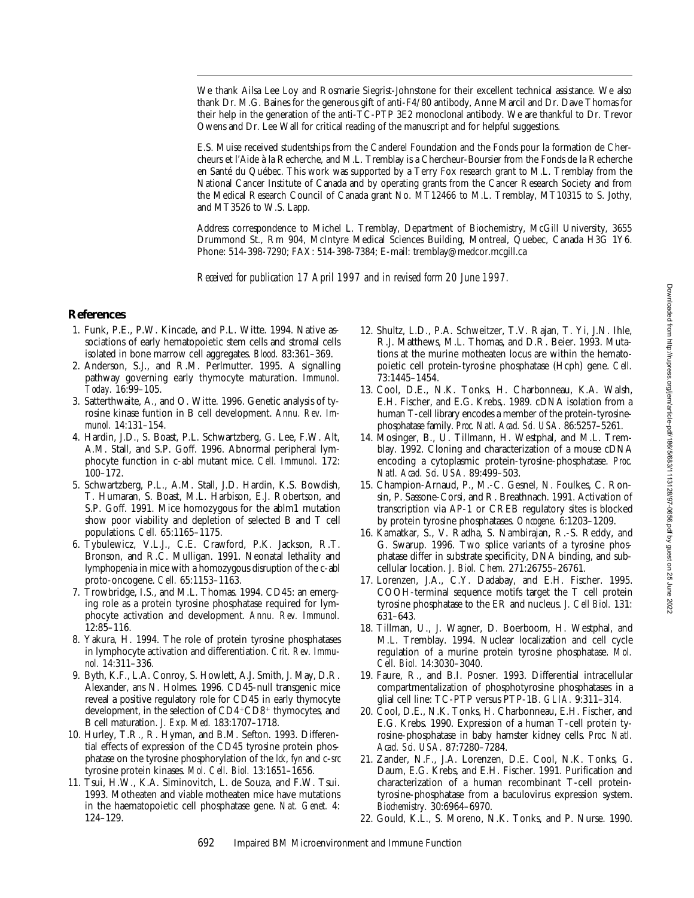We thank Ailsa Lee Loy and Rosmarie Siegrist-Johnstone for their excellent technical assistance. We also thank Dr. M.G. Baines for the generous gift of anti-F4/80 antibody, Anne Marcil and Dr. Dave Thomas for their help in the generation of the anti-TC-PTP 3E2 monoclonal antibody. We are thankful to Dr. Trevor Owens and Dr. Lee Wall for critical reading of the manuscript and for helpful suggestions.

E.S. Muise received studentships from the Canderel Foundation and the Fonds pour la formation de Chercheurs et l'Aide à la Recherche, and M.L. Tremblay is a Chercheur-Boursier from the Fonds de la Recherche en Santé du Québec. This work was supported by a Terry Fox research grant to M.L. Tremblay from the National Cancer Institute of Canada and by operating grants from the Cancer Research Society and from the Medical Research Council of Canada grant No. MT12466 to M.L. Tremblay, MT10315 to S. Jothy, and MT3526 to W.S. Lapp.

Address correspondence to Michel L. Tremblay, Department of Biochemistry, McGill University, 3655 Drummond St., Rm 904, McIntyre Medical Sciences Building, Montreal, Quebec, Canada H3G 1Y6. Phone: 514-398-7290; FAX: 514-398-7384; E-mail: tremblay@medcor.mcgill.ca

*Received for publication 17 April 1997 and in revised form 20 June 1997.*

## **References**

- 1. Funk, P.E., P.W. Kincade, and P.L. Witte. 1994. Native associations of early hematopoietic stem cells and stromal cells isolated in bone marrow cell aggregates. *Blood.* 83:361–369.
- 2. Anderson, S.J., and R.M. Perlmutter. 1995. A signalling pathway governing early thymocyte maturation. *Immunol. Today.* 16:99–105.
- 3. Satterthwaite, A., and O. Witte. 1996. Genetic analysis of tyrosine kinase funtion in B cell development. *Annu. Rev. Immunol.* 14:131–154.
- 4. Hardin, J.D., S. Boast, P.L. Schwartzberg, G. Lee, F.W. Alt, A.M. Stall, and S.P. Goff. 1996. Abnormal peripheral lymphocyte function in c-abl mutant mice. *Cell. Immunol.* 172: 100–172.
- 5. Schwartzberg, P.L., A.M. Stall, J.D. Hardin, K.S. Bowdish, T. Humaran, S. Boast, M.L. Harbison, E.J. Robertson, and S.P. Goff. 1991. Mice homozygous for the ablm1 mutation show poor viability and depletion of selected B and T cell populations. *Cell.* 65:1165–1175.
- 6. Tybulewicz, V.L.J., C.E. Crawford, P.K. Jackson, R.T. Bronson, and R.C. Mulligan. 1991. Neonatal lethality and lymphopenia in mice with a homozygous disruption of the c-abl proto-oncogene. *Cell.* 65:1153–1163.
- 7. Trowbridge, I.S., and M.L. Thomas. 1994. CD45: an emerging role as a protein tyrosine phosphatase required for lymphocyte activation and development. *Annu. Rev. Immunol.* 12:85–116.
- 8. Yakura, H. 1994. The role of protein tyrosine phosphatases in lymphocyte activation and differentiation. *Crit. Rev. Immunol.* 14:311–336.
- 9. Byth, K.F., L.A. Conroy, S. Howlett, A.J. Smith, J. May, D.R. Alexander, ans N. Holmes. 1996. CD45-null transgenic mice reveal a positive regulatory role for CD45 in early thymocyte development, in the selection of  $CD4+CD8+$  thymocytes, and B cell maturation. *J. Exp. Med.* 183:1707–1718.
- 10. Hurley, T.R., R. Hyman, and B.M. Sefton. 1993. Differential effects of expression of the CD45 tyrosine protein phosphatase on the tyrosine phosphorylation of the *lck*, *fyn* and c-*src* tyrosine protein kinases. *Mol. Cell. Biol.* 13:1651–1656.
- 11. Tsui, H.W., K.A. Siminovitch, L. de Souza, and F.W. Tsui. 1993. Motheaten and viable motheaten mice have mutations in the haematopoietic cell phosphatase gene. *Nat. Genet.* 4: 124–129.
- 12. Shultz, L.D., P.A. Schweitzer, T.V. Rajan, T. Yi, J.N. Ihle, R.J. Matthews, M.L. Thomas, and D.R. Beier. 1993. Mutations at the murine motheaten locus are within the hematopoietic cell protein-tyrosine phosphatase (Hcph) gene. *Cell.* 73:1445–1454.
- 13. Cool, D.E., N.K. Tonks, H. Charbonneau, K.A. Walsh, E.H. Fischer, and E.G. Krebs,. 1989. cDNA isolation from a human T-cell library encodes a member of the protein-tyrosinephosphatase family. *Proc. Natl. Acad. Sci. USA.* 86:5257–5261.
- 14. Mosinger, B., U. Tillmann, H. Westphal, and M.L. Tremblay. 1992. Cloning and characterization of a mouse cDNA encoding a cytoplasmic protein-tyrosine-phosphatase. *Proc. Natl. Acad. Sci. USA.* 89:499–503.
- 15. Champion-Arnaud, P., M.-C. Gesnel, N. Foulkes, C. Ronsin, P. Sassone-Corsi, and R. Breathnach. 1991. Activation of transcription via AP-1 or CREB regulatory sites is blocked by protein tyrosine phosphatases. *Oncogene.* 6:1203–1209.
- 16. Kamatkar, S., V. Radha, S. Nambirajan, R.-S. Reddy, and G. Swarup. 1996. Two splice variants of a tyrosine phosphatase differ in substrate specificity, DNA binding, and subcellular location. *J. Biol. Chem.* 271:26755–26761.
- 17. Lorenzen, J.A., C.Y. Dadabay, and E.H. Fischer. 1995. COOH-terminal sequence motifs target the T cell protein tyrosine phosphatase to the ER and nucleus. *J. Cell Biol.* 131: 631–643.
- 18. Tillman, U., J. Wagner, D. Boerboom, H. Westphal, and M.L. Tremblay. 1994. Nuclear localization and cell cycle regulation of a murine protein tyrosine phosphatase. *Mol. Cell. Biol.* 14:3030–3040.
- 19. Faure, R., and B.I. Posner. 1993. Differential intracellular compartmentalization of phosphotyrosine phosphatases in a glial cell line: TC-PTP versus PTP-1B. *GLIA.* 9:311–314.
- 20. Cool, D.E., N.K. Tonks, H. Charbonneau, E.H. Fischer, and E.G. Krebs. 1990. Expression of a human T-cell protein tyrosine-phosphatase in baby hamster kidney cells. *Proc. Natl. Acad. Sci. USA.* 87:7280–7284.
- 21. Zander, N.F., J.A. Lorenzen, D.E. Cool, N.K. Tonks, G. Daum, E.G. Krebs, and E.H. Fischer. 1991. Purification and characterization of a human recombinant T-cell proteintyrosine-phosphatase from a baculovirus expression system. *Biochemistry.* 30:6964–6970.
- 22. Gould, K.L., S. Moreno, N.K. Tonks, and P. Nurse. 1990.